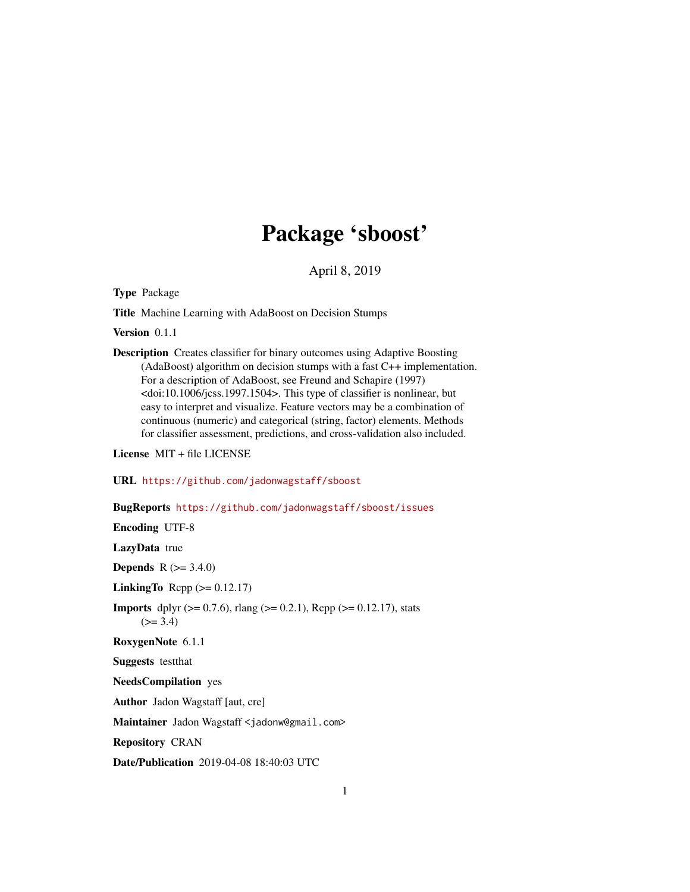## Package 'sboost'

April 8, 2019

Type Package

Title Machine Learning with AdaBoost on Decision Stumps

Version 0.1.1

Description Creates classifier for binary outcomes using Adaptive Boosting (AdaBoost) algorithm on decision stumps with a fast C++ implementation. For a description of AdaBoost, see Freund and Schapire (1997) <doi:10.1006/jcss.1997.1504>. This type of classifier is nonlinear, but easy to interpret and visualize. Feature vectors may be a combination of continuous (numeric) and categorical (string, factor) elements. Methods for classifier assessment, predictions, and cross-validation also included.

License MIT + file LICENSE

URL <https://github.com/jadonwagstaff/sboost>

#### BugReports <https://github.com/jadonwagstaff/sboost/issues>

Encoding UTF-8

LazyData true

**Depends** R  $(>= 3.4.0)$ 

LinkingTo Rcpp  $(>= 0.12.17)$ 

**Imports** dplyr ( $>= 0.7.6$ ), rlang ( $>= 0.2.1$ ), Rcpp ( $>= 0.12.17$ ), stats  $(>= 3.4)$ 

RoxygenNote 6.1.1

Suggests testthat

NeedsCompilation yes

Author Jadon Wagstaff [aut, cre]

Maintainer Jadon Wagstaff <jadonw@gmail.com>

Repository CRAN

Date/Publication 2019-04-08 18:40:03 UTC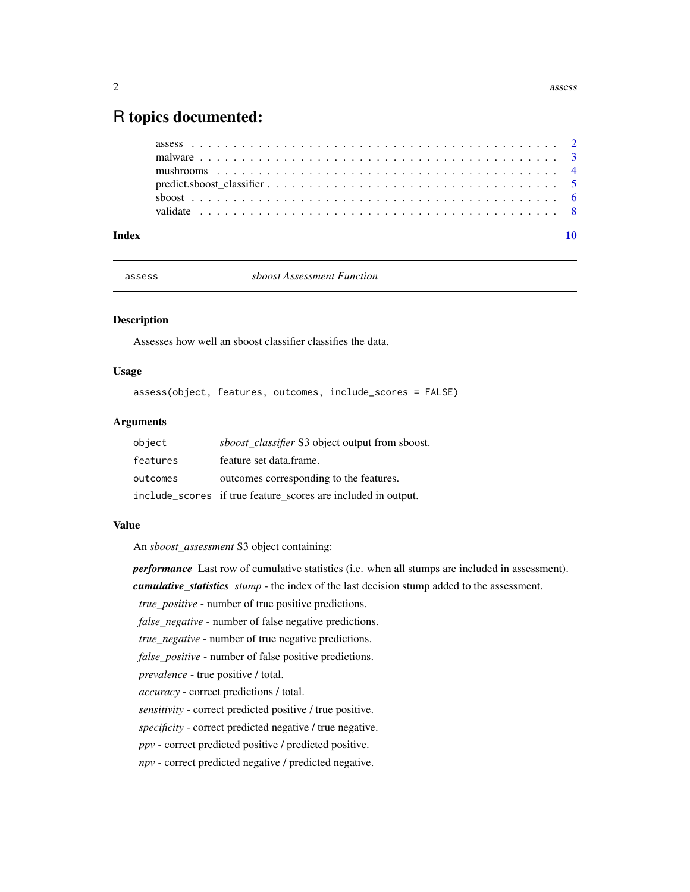### <span id="page-1-0"></span>R topics documented:

| Index |  |
|-------|--|

<span id="page-1-1"></span>

assess *sboost Assessment Function*

#### Description

Assesses how well an sboost classifier classifies the data.

#### Usage

assess(object, features, outcomes, include\_scores = FALSE)

#### Arguments

| object   | <i>sboost classifier</i> S3 object output from sboost.        |
|----------|---------------------------------------------------------------|
| features | feature set data.frame.                                       |
| outcomes | outcomes corresponding to the features.                       |
|          | include_scores if true feature_scores are included in output. |

#### Value

An *sboost\_assessment* S3 object containing:

*performance* Last row of cumulative statistics (i.e. when all stumps are included in assessment).

*cumulative\_statistics stump* - the index of the last decision stump added to the assessment.

*true\_positive* - number of true positive predictions.

*false\_negative* - number of false negative predictions.

*true\_negative* - number of true negative predictions.

*false\_positive* - number of false positive predictions.

*prevalence* - true positive / total.

*accuracy* - correct predictions / total.

*sensitivity* - correct predicted positive / true positive.

*specificity* - correct predicted negative / true negative.

*ppv* - correct predicted positive / predicted positive.

*npv* - correct predicted negative / predicted negative.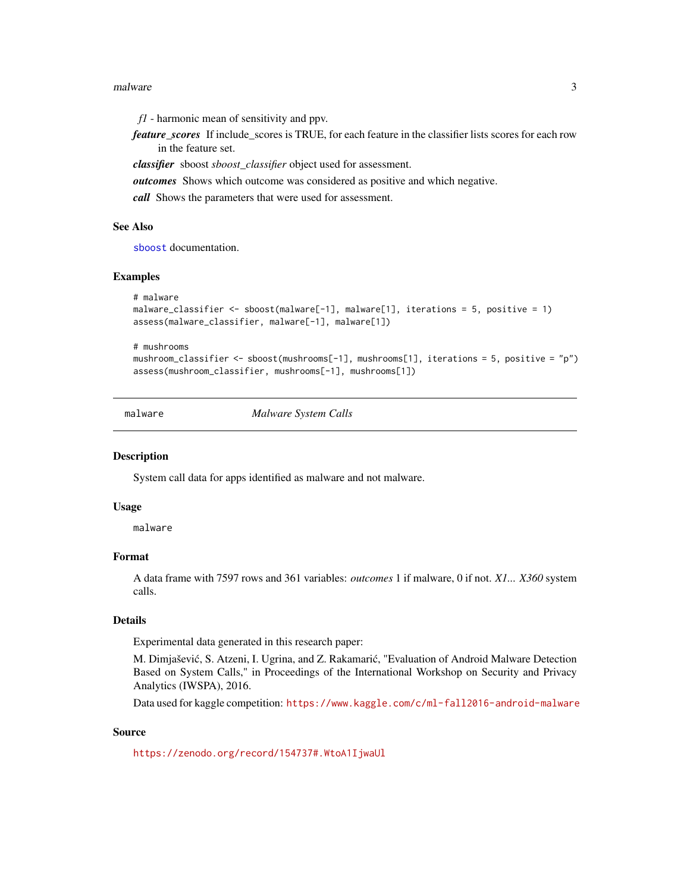#### <span id="page-2-0"></span>malware 3

*f1* - harmonic mean of sensitivity and ppv.

*feature\_scores* If include\_scores is TRUE, for each feature in the classifier lists scores for each row in the feature set.

*classifier* sboost *sboost\_classifier* object used for assessment.

*outcomes* Shows which outcome was considered as positive and which negative.

*call* Shows the parameters that were used for assessment.

#### See Also

[sboost](#page-5-1) documentation.

#### Examples

```
# malware
malware_classifier <- sboost(malware[-1], malware[1], iterations = 5, positive = 1)
assess(malware_classifier, malware[-1], malware[1])
```
# mushrooms

mushroom\_classifier <- sboost(mushrooms[-1], mushrooms[1], iterations = 5, positive = "p") assess(mushroom\_classifier, mushrooms[-1], mushrooms[1])

malware *Malware System Calls*

#### **Description**

System call data for apps identified as malware and not malware.

#### Usage

malware

#### Format

A data frame with 7597 rows and 361 variables: *outcomes* 1 if malware, 0 if not. *X1... X360* system calls.

#### Details

Experimental data generated in this research paper:

M. Dimjašević, S. Atzeni, I. Ugrina, and Z. Rakamarić, "Evaluation of Android Malware Detection Based on System Calls," in Proceedings of the International Workshop on Security and Privacy Analytics (IWSPA), 2016.

Data used for kaggle competition: <https://www.kaggle.com/c/ml-fall2016-android-malware>

#### Source

<https://zenodo.org/record/154737#.WtoA1IjwaUl>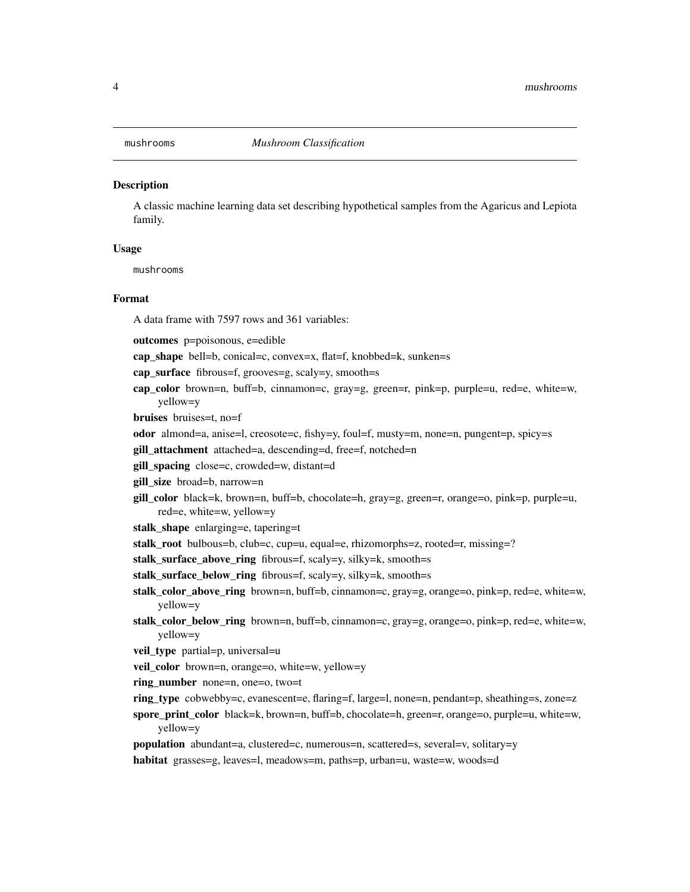<span id="page-3-0"></span>

#### **Description**

A classic machine learning data set describing hypothetical samples from the Agaricus and Lepiota family.

#### Usage

mushrooms

#### Format

A data frame with 7597 rows and 361 variables:

outcomes p=poisonous, e=edible

cap shape bell=b, conical=c, convex=x, flat=f, knobbed=k, sunken=s

cap\_surface fibrous=f, grooves=g, scaly=y, smooth=s

cap\_color brown=n, buff=b, cinnamon=c, gray=g, green=r, pink=p, purple=u, red=e, white=w, yellow=y

bruises bruises=t, no=f

- odor almond=a, anise=l, creosote=c, fishy=y, foul=f, musty=m, none=n, pungent=p, spicy=s
- gill\_attachment attached=a, descending=d, free=f, notched=n
- gill\_spacing close=c, crowded=w, distant=d
- gill\_size broad=b, narrow=n
- gill\_color black=k, brown=n, buff=b, chocolate=h, gray=g, green=r, orange=o, pink=p, purple=u, red=e, white=w, yellow=y
- stalk\_shape enlarging=e, tapering=t
- stalk\_root bulbous=b, club=c, cup=u, equal=e, rhizomorphs=z, rooted=r, missing=?

stalk\_surface\_above\_ring fibrous=f, scaly=y, silky=k, smooth=s

stalk\_surface\_below\_ring fibrous=f, scaly=y, silky=k, smooth=s

- stalk\_color\_above\_ring brown=n, buff=b, cinnamon=c, gray=g, orange=o, pink=p, red=e, white=w, yellow=y
- stalk\_color\_below\_ring brown=n, buff=b, cinnamon=c, gray=g, orange=o, pink=p, red=e, white=w, yellow=y
- veil\_type partial=p, universal=u
- veil\_color brown=n, orange=o, white=w, yellow=y
- ring\_number none=n, one=o, two=t
- ring\_type cobwebby=c, evanescent=e, flaring=f, large=l, none=n, pendant=p, sheathing=s, zone=z

spore\_print\_color black=k, brown=n, buff=b, chocolate=h, green=r, orange=o, purple=u, white=w, yellow=y

population abundant=a, clustered=c, numerous=n, scattered=s, several=v, solitary=y

habitat grasses=g, leaves=l, meadows=m, paths=p, urban=u, waste=w, woods=d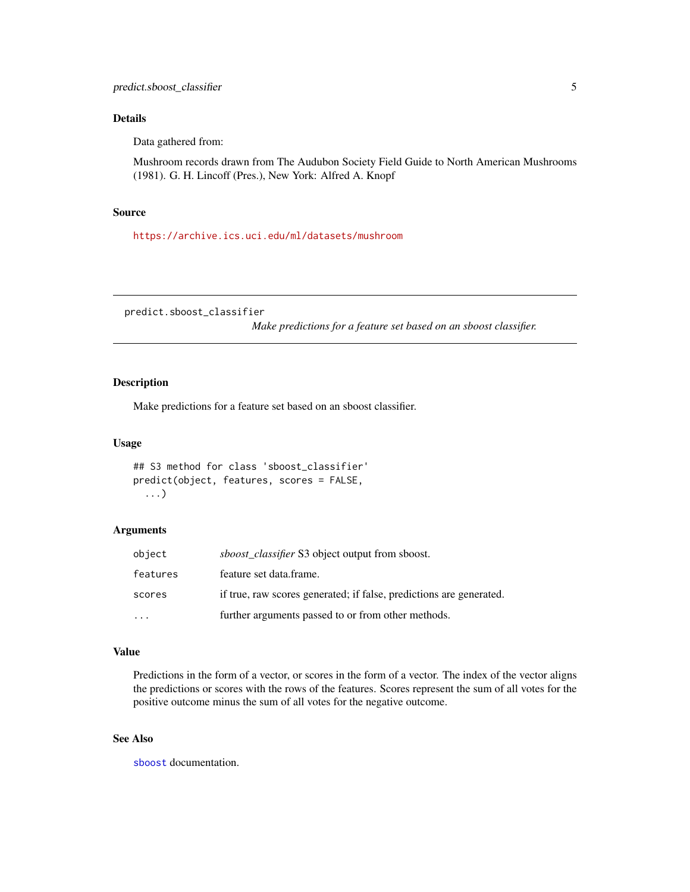#### <span id="page-4-0"></span>Details

Data gathered from:

Mushroom records drawn from The Audubon Society Field Guide to North American Mushrooms (1981). G. H. Lincoff (Pres.), New York: Alfred A. Knopf

#### Source

<https://archive.ics.uci.edu/ml/datasets/mushroom>

<span id="page-4-1"></span>predict.sboost\_classifier

*Make predictions for a feature set based on an sboost classifier.*

#### Description

Make predictions for a feature set based on an sboost classifier.

#### Usage

```
## S3 method for class 'sboost_classifier'
predict(object, features, scores = FALSE,
  ...)
```
#### Arguments

| object   | sboost_classifier S3 object output from sboost.                     |
|----------|---------------------------------------------------------------------|
| features | feature set data.frame.                                             |
| scores   | if true, raw scores generated; if false, predictions are generated. |
|          | further arguments passed to or from other methods.                  |

#### Value

Predictions in the form of a vector, or scores in the form of a vector. The index of the vector aligns the predictions or scores with the rows of the features. Scores represent the sum of all votes for the positive outcome minus the sum of all votes for the negative outcome.

#### See Also

[sboost](#page-5-1) documentation.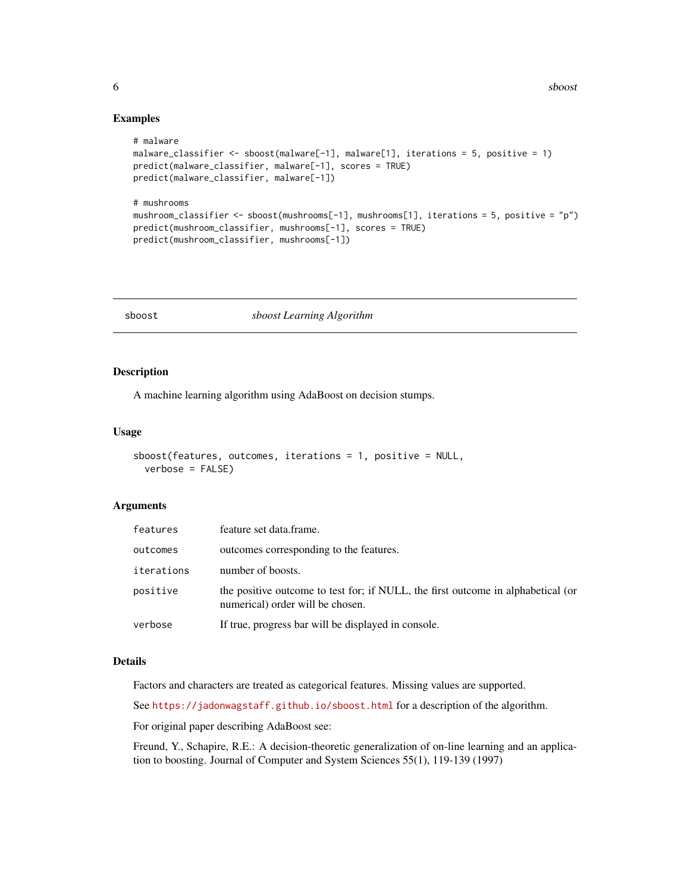#### Examples

```
# malware
malware_classifier <- sboost(malware[-1], malware[1], iterations = 5, positive = 1)
predict(malware_classifier, malware[-1], scores = TRUE)
predict(malware_classifier, malware[-1])
# mushrooms
mushroom_classifier <- sboost(mushrooms[-1], mushrooms[1], iterations = 5, positive = "p")
predict(mushroom_classifier, mushrooms[-1], scores = TRUE)
predict(mushroom_classifier, mushrooms[-1])
```
<span id="page-5-1"></span>sboost *sboost Learning Algorithm*

#### Description

A machine learning algorithm using AdaBoost on decision stumps.

#### Usage

```
sboost(features, outcomes, iterations = 1, positive = NULL,
  verbose = FALSE)
```
#### Arguments

| features   | feature set data.frame.                                                                                              |
|------------|----------------------------------------------------------------------------------------------------------------------|
| outcomes   | outcomes corresponding to the features.                                                                              |
| iterations | number of boosts.                                                                                                    |
| positive   | the positive outcome to test for; if NULL, the first outcome in alphabetical (or<br>numerical) order will be chosen. |
| verbose    | If true, progress bar will be displayed in console.                                                                  |

#### Details

Factors and characters are treated as categorical features. Missing values are supported.

See <https://jadonwagstaff.github.io/sboost.html> for a description of the algorithm.

For original paper describing AdaBoost see:

Freund, Y., Schapire, R.E.: A decision-theoretic generalization of on-line learning and an application to boosting. Journal of Computer and System Sciences 55(1), 119-139 (1997)

<span id="page-5-0"></span>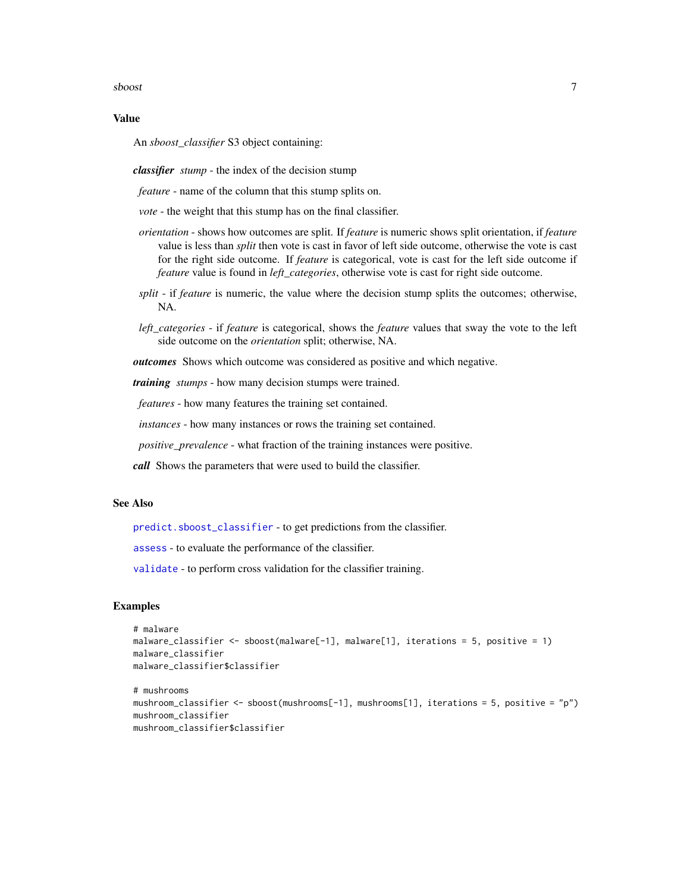#### <span id="page-6-0"></span>sboost 2008 and 2008 and 2008 and 2008 and 2008 and 2008 and 2008 and 2008 and 2008 and 2008 and 2008 and 2008

#### Value

An *sboost\_classifier* S3 object containing:

*classifier stump* - the index of the decision stump

*feature* - name of the column that this stump splits on.

*vote* - the weight that this stump has on the final classifier.

- *orientation* shows how outcomes are split. If *feature* is numeric shows split orientation, if *feature* value is less than *split* then vote is cast in favor of left side outcome, otherwise the vote is cast for the right side outcome. If *feature* is categorical, vote is cast for the left side outcome if *feature* value is found in *left\_categories*, otherwise vote is cast for right side outcome.
- *split* if *feature* is numeric, the value where the decision stump splits the outcomes; otherwise, NA.
- *left\_categories* if *feature* is categorical, shows the *feature* values that sway the vote to the left side outcome on the *orientation* split; otherwise, NA.

*outcomes* Shows which outcome was considered as positive and which negative.

*training stumps* - how many decision stumps were trained.

*features* - how many features the training set contained.

*instances* - how many instances or rows the training set contained.

*positive\_prevalence* - what fraction of the training instances were positive.

*call* Shows the parameters that were used to build the classifier.

#### See Also

[predict.sboost\\_classifier](#page-4-1) - to get predictions from the classifier.

[assess](#page-1-1) - to evaluate the performance of the classifier.

[validate](#page-7-1) - to perform cross validation for the classifier training.

#### Examples

```
# malware
malware_classifier <- sboost(malware[-1], malware[1], iterations = 5, positive = 1)
malware_classifier
malware_classifier$classifier
```

```
# mushrooms
mushroom_classifier <- sboost(mushrooms[-1], mushrooms[1], iterations = 5, positive = "p")
mushroom_classifier
mushroom_classifier$classifier
```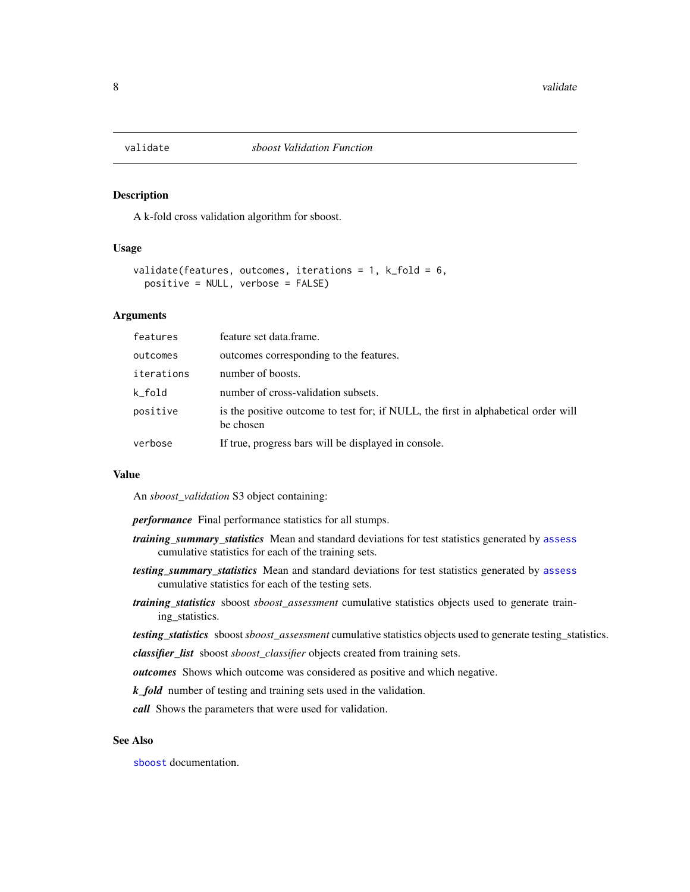<span id="page-7-1"></span><span id="page-7-0"></span>

#### Description

A k-fold cross validation algorithm for sboost.

#### Usage

```
validate(features, outcomes, iterations = 1, k_fold = 6,
 positive = NULL, verbose = FALSE)
```
#### Arguments

| features   | feature set data.frame.                                                                         |
|------------|-------------------------------------------------------------------------------------------------|
| outcomes   | outcomes corresponding to the features.                                                         |
| iterations | number of boosts.                                                                               |
| k fold     | number of cross-validation subsets.                                                             |
| positive   | is the positive outcome to test for; if NULL, the first in alphabetical order will<br>be chosen |
| verbose    | If true, progress bars will be displayed in console.                                            |

#### Value

An *sboost\_validation* S3 object containing:

*performance* Final performance statistics for all stumps.

- *training\_summary\_statistics* Mean and standard deviations for test statistics generated by [assess](#page-1-1) cumulative statistics for each of the training sets.
- *testing\_summary\_statistics* Mean and standard deviations for test statistics generated by [assess](#page-1-1) cumulative statistics for each of the testing sets.
- *training\_statistics* sboost *sboost\_assessment* cumulative statistics objects used to generate training\_statistics.

*testing\_statistics* sboost*sboost\_assessment* cumulative statistics objects used to generate testing\_statistics.

*classifier\_list* sboost *sboost\_classifier* objects created from training sets.

*outcomes* Shows which outcome was considered as positive and which negative.

*k\_fold* number of testing and training sets used in the validation.

*call* Shows the parameters that were used for validation.

#### See Also

[sboost](#page-5-1) documentation.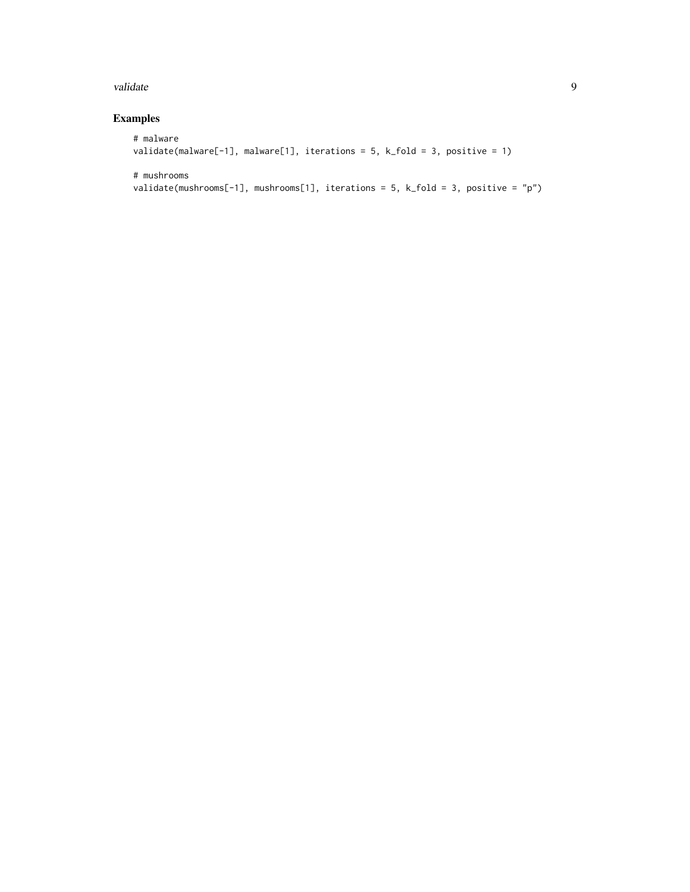#### validate the set of the set of the set of the set of the set of the set of the set of the set of the set of the set of the set of the set of the set of the set of the set of the set of the set of the set of the set of the

#### Examples

```
# malware
validate(malware[-1], malware[1], iterations = 5, k_fold = 3, positive = 1)
# mushrooms
```

```
validate(mushrooms[-1], mushrooms[1], iterations = 5, k_fold = 3, positive = "p")
```